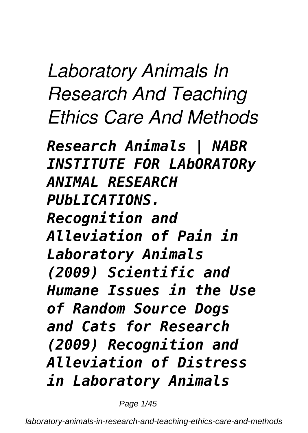*Laboratory Animals In Research And Teaching Ethics Care And Methods*

*Research Animals | NABR INSTITUTE FOR LAbORATORy ANIMAL RESEARCH PUbLICATIONS. Recognition and Alleviation of Pain in Laboratory Animals (2009) Scientific and Humane Issues in the Use of Random Source Dogs and Cats for Research (2009) Recognition and Alleviation of Distress in Laboratory Animals*

Page 1/45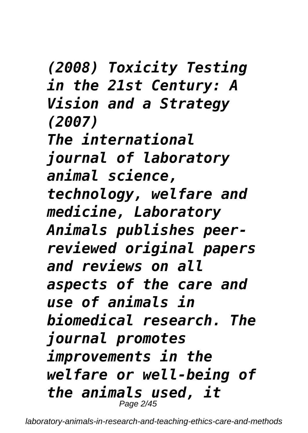*(2008) Toxicity Testing in the 21st Century: A Vision and a Strategy (2007) The international journal of laboratory animal science, technology, welfare and medicine, Laboratory Animals publishes peerreviewed original papers and reviews on all aspects of the care and use of animals in biomedical research. The journal promotes improvements in the welfare or well-being of the animals used, it* Page 2/45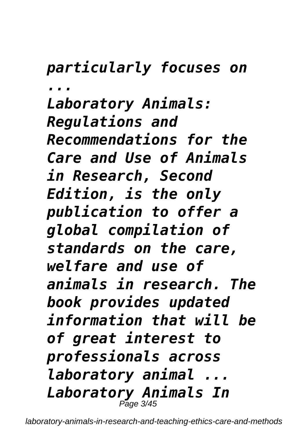### *particularly focuses on*

*...*

*Laboratory Animals: Regulations and Recommendations for the Care and Use of Animals in Research, Second Edition, is the only publication to offer a global compilation of standards on the care, welfare and use of animals in research. The book provides updated information that will be of great interest to professionals across laboratory animal ... Laboratory Animals In* Page 3/45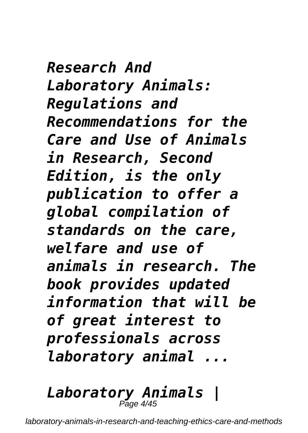*Research And Laboratory Animals: Regulations and Recommendations for the Care and Use of Animals in Research, Second Edition, is the only publication to offer a global compilation of standards on the care, welfare and use of animals in research. The book provides updated information that will be of great interest to professionals across laboratory animal ...*

*Laboratory Animals |* Page 4/45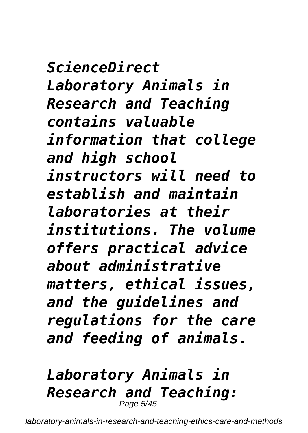*ScienceDirect Laboratory Animals in Research and Teaching contains valuable information that college and high school instructors will need to establish and maintain laboratories at their institutions. The volume offers practical advice about administrative matters, ethical issues, and the guidelines and regulations for the care and feeding of animals.*

#### *Laboratory Animals in Research and Teaching:* Page 5/45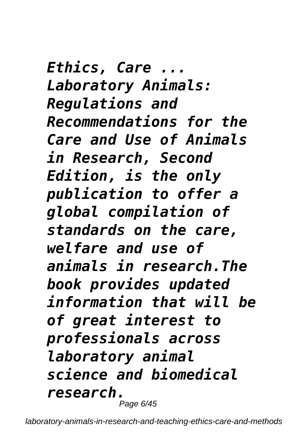*Ethics, Care ... Laboratory Animals: Regulations and Recommendations for the Care and Use of Animals in Research, Second Edition, is the only publication to offer a global compilation of standards on the care, welfare and use of animals in research.The book provides updated information that will be of great interest to professionals across laboratory animal science and biomedical research.* Page 6/45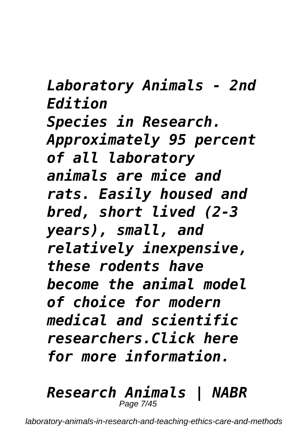*Laboratory Animals - 2nd Edition Species in Research. Approximately 95 percent of all laboratory animals are mice and rats. Easily housed and bred, short lived (2-3 years), small, and relatively inexpensive, these rodents have become the animal model of choice for modern medical and scientific researchers.Click here for more information.*

#### *Research Animals | NABR* Page 7/45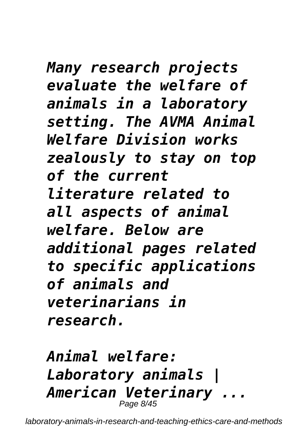*Many research projects evaluate the welfare of animals in a laboratory setting. The AVMA Animal Welfare Division works zealously to stay on top of the current literature related to all aspects of animal welfare. Below are additional pages related to specific applications of animals and veterinarians in research.*

*Animal welfare: Laboratory animals | American Veterinary ...* Page 8/45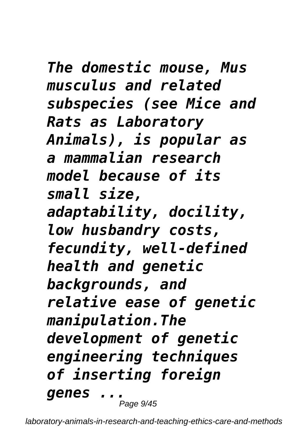*The domestic mouse, Mus musculus and related subspecies (see Mice and Rats as Laboratory Animals), is popular as a mammalian research model because of its small size, adaptability, docility, low husbandry costs, fecundity, well-defined health and genetic backgrounds, and relative ease of genetic manipulation.The development of genetic engineering techniques of inserting foreign genes ...* Page  $9/45$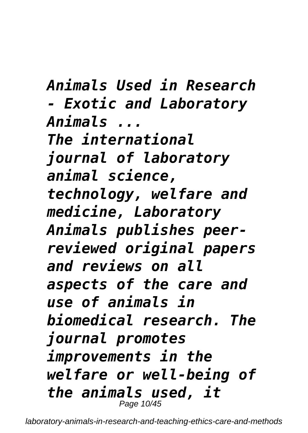*Animals Used in Research*

*- Exotic and Laboratory Animals ...*

*The international journal of laboratory animal science, technology, welfare and medicine, Laboratory Animals publishes peerreviewed original papers and reviews on all aspects of the care and use of animals in biomedical research. The journal promotes improvements in the welfare or well-being of the animals used, it* Page 10/45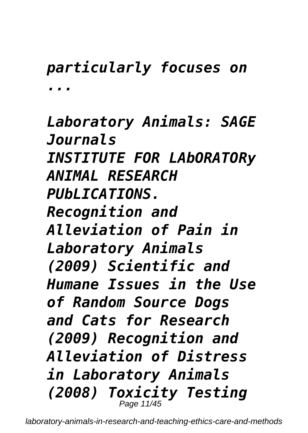# *particularly focuses on ...*

*Laboratory Animals: SAGE Journals INSTITUTE FOR LAbORATORy ANIMAL RESEARCH PUbLICATIONS. Recognition and Alleviation of Pain in Laboratory Animals (2009) Scientific and Humane Issues in the Use of Random Source Dogs and Cats for Research (2009) Recognition and Alleviation of Distress in Laboratory Animals (2008) Toxicity Testing* Page 11/45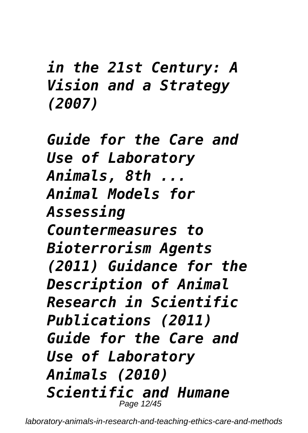*in the 21st Century: A Vision and a Strategy (2007)*

*Guide for the Care and Use of Laboratory Animals, 8th ... Animal Models for Assessing Countermeasures to Bioterrorism Agents (2011) Guidance for the Description of Animal Research in Scientific Publications (2011) Guide for the Care and Use of Laboratory Animals (2010) Scientific and Humane* Page 12/45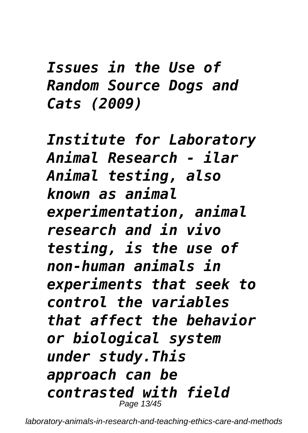# *Issues in the Use of Random Source Dogs and Cats (2009)*

*Institute for Laboratory Animal Research - ilar Animal testing, also known as animal experimentation, animal research and in vivo testing, is the use of non-human animals in experiments that seek to control the variables that affect the behavior or biological system under study.This approach can be contrasted with field* Page 13/45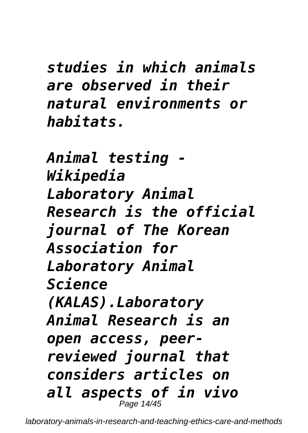*studies in which animals are observed in their natural environments or habitats.*

*Animal testing - Wikipedia Laboratory Animal Research is the official journal of The Korean Association for Laboratory Animal Science (KALAS).Laboratory Animal Research is an open access, peerreviewed journal that considers articles on all aspects of in vivo* Page 14/45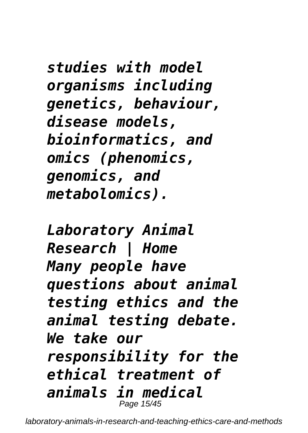*studies with model organisms including genetics, behaviour, disease models, bioinformatics, and omics (phenomics, genomics, and metabolomics).*

*Laboratory Animal Research | Home Many people have questions about animal testing ethics and the animal testing debate. We take our responsibility for the ethical treatment of animals in medical* Page 15/45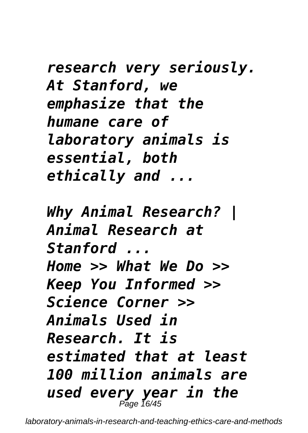*research very seriously. At Stanford, we emphasize that the humane care of laboratory animals is essential, both ethically and ...*

*Why Animal Research? | Animal Research at Stanford ... Home >> What We Do >> Keep You Informed >> Science Corner >> Animals Used in Research. It is estimated that at least 100 million animals are used every year in the* Page 16/45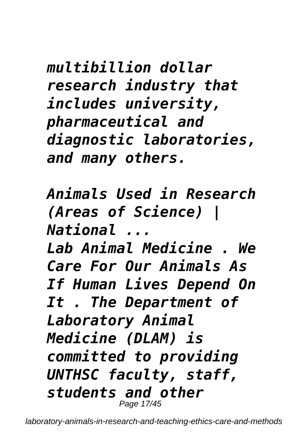*multibillion dollar research industry that includes university, pharmaceutical and diagnostic laboratories, and many others.*

*Animals Used in Research (Areas of Science) | National ...*

*Lab Animal Medicine . We Care For Our Animals As If Human Lives Depend On It . The Department of Laboratory Animal Medicine (DLAM) is committed to providing UNTHSC faculty, staff, students and other* Page 17/45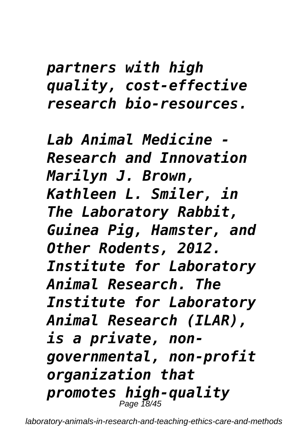# *partners with high quality, cost-effective research bio-resources.*

*Lab Animal Medicine - Research and Innovation Marilyn J. Brown, Kathleen L. Smiler, in The Laboratory Rabbit, Guinea Pig, Hamster, and Other Rodents, 2012. Institute for Laboratory Animal Research. The Institute for Laboratory Animal Research (ILAR), is a private, nongovernmental, non-profit organization that promotes high-quality* Page 18/45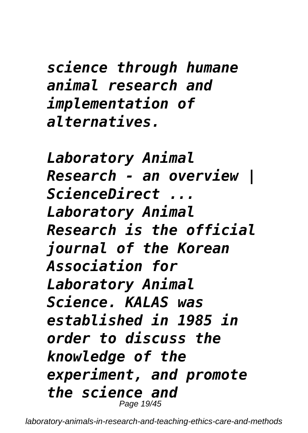*science through humane animal research and implementation of alternatives.*

*Laboratory Animal Research - an overview | ScienceDirect ... Laboratory Animal Research is the official journal of the Korean Association for Laboratory Animal Science. KALAS was established in 1985 in order to discuss the knowledge of the experiment, and promote the science and* Page 19/45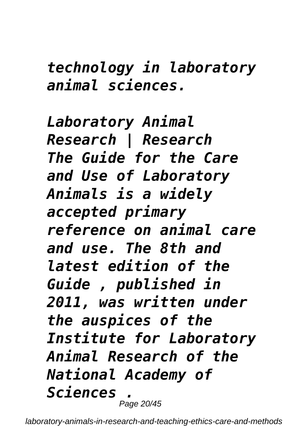## *technology in laboratory animal sciences.*

*Laboratory Animal Research | Research The Guide for the Care and Use of Laboratory Animals is a widely accepted primary reference on animal care and use. The 8th and latest edition of the Guide , published in 2011, was written under the auspices of the Institute for Laboratory Animal Research of the National Academy of Sciences .* Page 20/45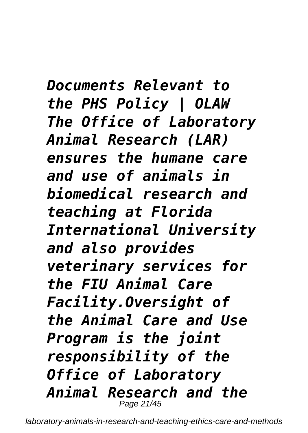*Documents Relevant to the PHS Policy | OLAW The Office of Laboratory Animal Research (LAR) ensures the humane care and use of animals in biomedical research and teaching at Florida International University and also provides veterinary services for the FIU Animal Care Facility.Oversight of the Animal Care and Use Program is the joint responsibility of the Office of Laboratory Animal Research and the* Page 21/45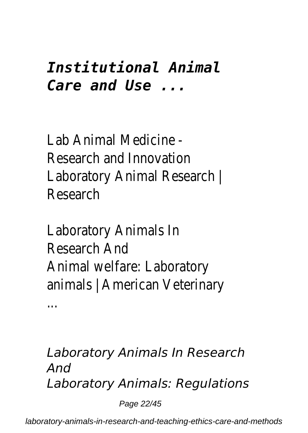# *Institutional Animal Care and Use ...*

**Lab Animal Medicine** Research and Innovati Laboratory Animal Researd Research

Laboratory Animals Research An Animal welfare: Laboratory animals | American Veterin

...

*Laboratory Animals In Research And Laboratory Animals: Regulations*

Page 22/45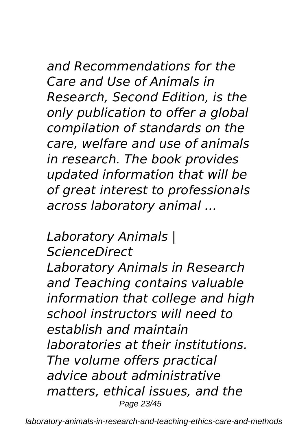### *and Recommendations for the Care and Use of Animals in Research, Second Edition, is the only publication to offer a global compilation of standards on the care, welfare and use of animals in research. The book provides updated information that will be of great interest to professionals across laboratory animal ...*

#### *Laboratory Animals | ScienceDirect*

*Laboratory Animals in Research and Teaching contains valuable information that college and high school instructors will need to establish and maintain laboratories at their institutions. The volume offers practical advice about administrative matters, ethical issues, and the* Page 23/45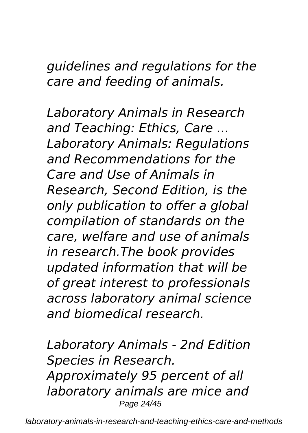*guidelines and regulations for the care and feeding of animals.*

*Laboratory Animals in Research and Teaching: Ethics, Care ... Laboratory Animals: Regulations and Recommendations for the Care and Use of Animals in Research, Second Edition, is the only publication to offer a global compilation of standards on the care, welfare and use of animals in research.The book provides updated information that will be of great interest to professionals across laboratory animal science and biomedical research.*

*Laboratory Animals - 2nd Edition Species in Research. Approximately 95 percent of all laboratory animals are mice and* Page 24/45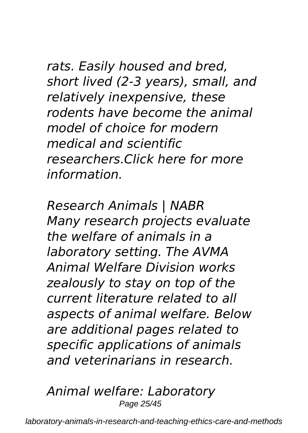*rats. Easily housed and bred, short lived (2-3 years), small, and relatively inexpensive, these rodents have become the animal model of choice for modern medical and scientific researchers.Click here for more information.*

*Research Animals | NABR Many research projects evaluate the welfare of animals in a laboratory setting. The AVMA Animal Welfare Division works zealously to stay on top of the current literature related to all aspects of animal welfare. Below are additional pages related to specific applications of animals and veterinarians in research.*

*Animal welfare: Laboratory* Page 25/45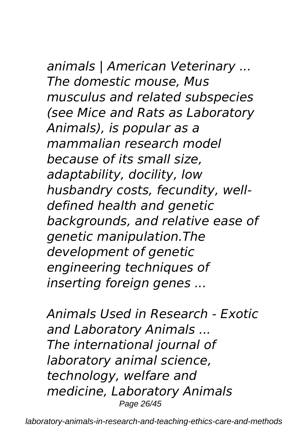# *animals | American Veterinary ...*

*The domestic mouse, Mus musculus and related subspecies (see Mice and Rats as Laboratory Animals), is popular as a mammalian research model because of its small size, adaptability, docility, low husbandry costs, fecundity, welldefined health and genetic backgrounds, and relative ease of genetic manipulation.The development of genetic engineering techniques of inserting foreign genes ...*

*Animals Used in Research - Exotic and Laboratory Animals ... The international journal of laboratory animal science, technology, welfare and medicine, Laboratory Animals* Page 26/45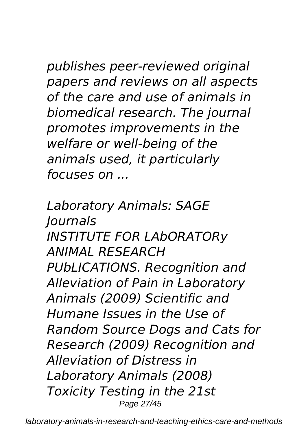*publishes peer-reviewed original papers and reviews on all aspects of the care and use of animals in biomedical research. The journal promotes improvements in the welfare or well-being of the animals used, it particularly focuses on ...*

*Laboratory Animals: SAGE Journals INSTITUTE FOR LAbORATORy ANIMAL RESEARCH PUbLICATIONS. Recognition and Alleviation of Pain in Laboratory Animals (2009) Scientific and Humane Issues in the Use of Random Source Dogs and Cats for Research (2009) Recognition and Alleviation of Distress in Laboratory Animals (2008) Toxicity Testing in the 21st* Page 27/45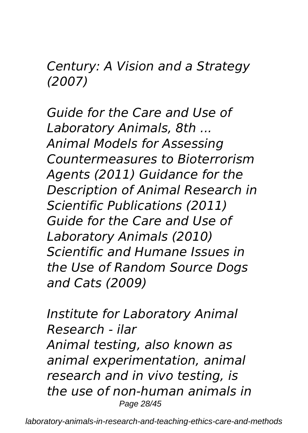*Century: A Vision and a Strategy (2007)*

*Guide for the Care and Use of Laboratory Animals, 8th ... Animal Models for Assessing Countermeasures to Bioterrorism Agents (2011) Guidance for the Description of Animal Research in Scientific Publications (2011) Guide for the Care and Use of Laboratory Animals (2010) Scientific and Humane Issues in the Use of Random Source Dogs and Cats (2009)*

*Institute for Laboratory Animal Research - ilar Animal testing, also known as animal experimentation, animal research and in vivo testing, is the use of non-human animals in* Page 28/45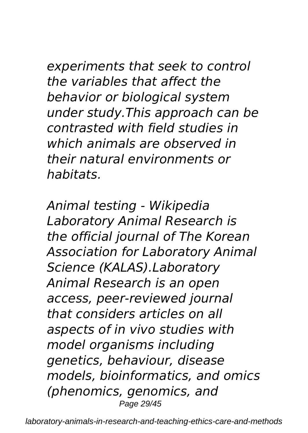*experiments that seek to control the variables that affect the behavior or biological system under study.This approach can be contrasted with field studies in which animals are observed in their natural environments or habitats.*

*Animal testing - Wikipedia Laboratory Animal Research is the official journal of The Korean Association for Laboratory Animal Science (KALAS).Laboratory Animal Research is an open access, peer-reviewed journal that considers articles on all aspects of in vivo studies with model organisms including genetics, behaviour, disease models, bioinformatics, and omics (phenomics, genomics, and* Page 29/45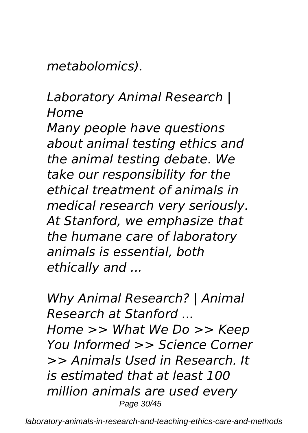*metabolomics).*

#### *Laboratory Animal Research | Home*

*Many people have questions about animal testing ethics and the animal testing debate. We take our responsibility for the ethical treatment of animals in medical research very seriously. At Stanford, we emphasize that the humane care of laboratory animals is essential, both ethically and ...*

*Why Animal Research? | Animal Research at Stanford ... Home >> What We Do >> Keep You Informed >> Science Corner >> Animals Used in Research. It is estimated that at least 100 million animals are used every* Page 30/45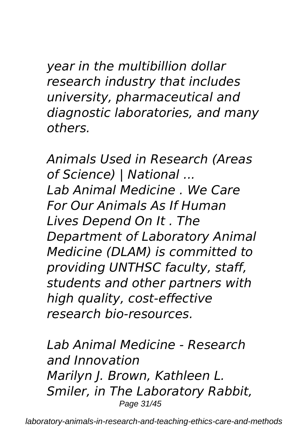*year in the multibillion dollar research industry that includes university, pharmaceutical and diagnostic laboratories, and many others.*

*Animals Used in Research (Areas of Science) | National ... Lab Animal Medicine . We Care For Our Animals As If Human Lives Depend On It . The Department of Laboratory Animal Medicine (DLAM) is committed to providing UNTHSC faculty, staff, students and other partners with high quality, cost-effective research bio-resources.*

*Lab Animal Medicine - Research and Innovation Marilyn J. Brown, Kathleen L. Smiler, in The Laboratory Rabbit,* Page 31/45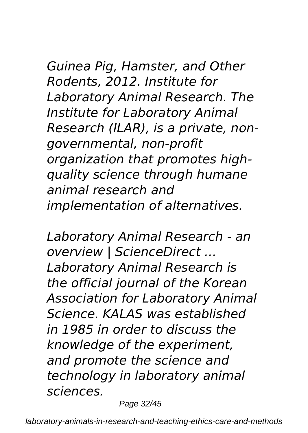### *Guinea Pig, Hamster, and Other Rodents, 2012. Institute for Laboratory Animal Research. The Institute for Laboratory Animal Research (ILAR), is a private, nongovernmental, non-profit organization that promotes highquality science through humane animal research and implementation of alternatives.*

*Laboratory Animal Research - an overview | ScienceDirect ... Laboratory Animal Research is the official journal of the Korean Association for Laboratory Animal Science. KALAS was established in 1985 in order to discuss the knowledge of the experiment, and promote the science and technology in laboratory animal sciences.*

Page 32/45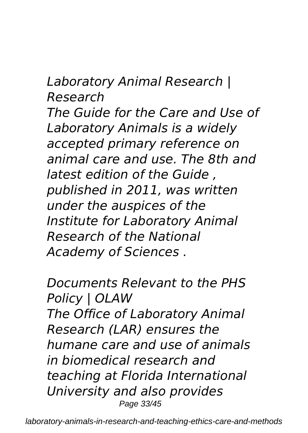*Laboratory Animal Research | Research The Guide for the Care and Use of Laboratory Animals is a widely accepted primary reference on animal care and use. The 8th and latest edition of the Guide , published in 2011, was written under the auspices of the Institute for Laboratory Animal Research of the National Academy of Sciences .*

*Documents Relevant to the PHS Policy | OLAW The Office of Laboratory Animal Research (LAR) ensures the humane care and use of animals in biomedical research and teaching at Florida International University and also provides* Page 33/45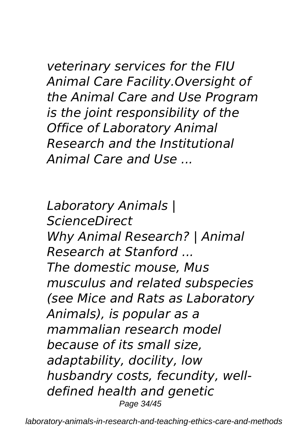*veterinary services for the FIU Animal Care Facility.Oversight of the Animal Care and Use Program is the joint responsibility of the Office of Laboratory Animal Research and the Institutional Animal Care and Use ...*

*Laboratory Animals | ScienceDirect Why Animal Research? | Animal Research at Stanford ... The domestic mouse, Mus musculus and related subspecies (see Mice and Rats as Laboratory Animals), is popular as a mammalian research model because of its small size, adaptability, docility, low husbandry costs, fecundity, welldefined health and genetic* Page 34/45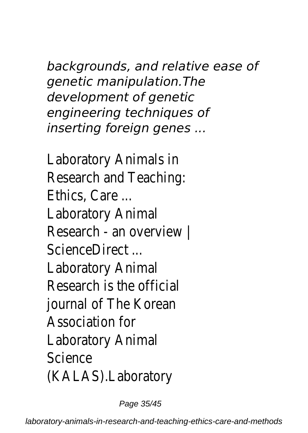*backgrounds, and relative ease of genetic manipulation.The development of genetic engineering techniques of inserting foreign genes ...*

Laboratory Animals Research and Teachir Ethics, Care Laboratory Anim Research - an overview ScienceDirect ... Laboratory Anim Research is the offic journal of The Korea Association fo Laboratory Anim **Science** (KALAS).Laborato

Page 35/45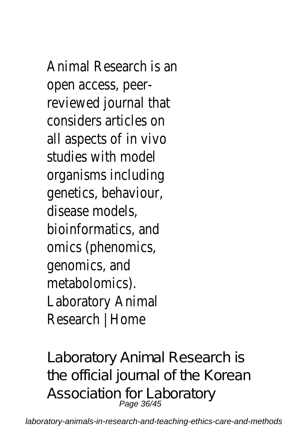Animal Research is a open access, pee reviewed journal th considers articles all aspects of in viv studies with mod organisms includir genetics, behaviour disease models bioinformatics, and omics (phenomic genomics, an metabolomics). Laboratory Anim Research | Hom

Laboratory Animal Research is the official journal of the Korean Association for Laboratory<br>Page 36/45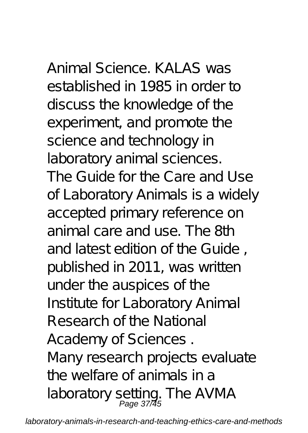Animal Science. KALAS was established in 1985 in order to discuss the knowledge of the experiment, and promote the science and technology in laboratory animal sciences. The Guide for the Care and Use of Laboratory Animals is a widely accepted primary reference on animal care and use. The 8th and latest edition of the Guide , published in 2011, was written under the auspices of the Institute for Laboratory Animal Research of the National Academy of Sciences . Many research projects evaluate the welfare of animals in a laboratory setting. The AVMA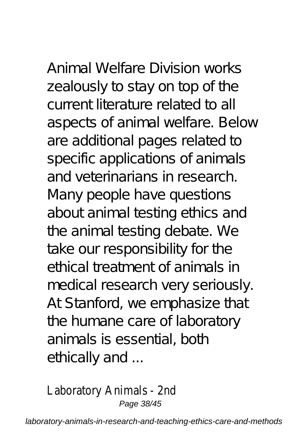# Animal Welfare Division works

zealously to stay on top of the current literature related to all aspects of animal welfare. Below are additional pages related to specific applications of animals and veterinarians in research. Many people have questions about animal testing ethics and the animal testing debate. We take our responsibility for the ethical treatment of animals in medical research very seriously. At Stanford, we emphasize that the humane care of laboratory animals is essential, both ethically and ...

Laboratory Animals - 2nd Page 38/45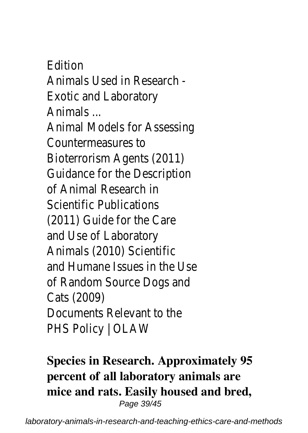Edition Animals Used in Research - Exotic and Laboratory Animals ... Animal Models for Assessing Countermeasures to Bioterrorism Agents (2011) Guidance for the Description of Animal Research in Scientific Publications (2011) Guide for the Care and Use of Laboratory Animals (2010) Scientific and Humane Issues in the Use of Random Source Dogs and Cats (2009) Documents Relevant to the PHS Policy | OLAW

**Species in Research. Approximately 95 percent of all laboratory animals are mice and rats. Easily housed and bred,** Page 39/45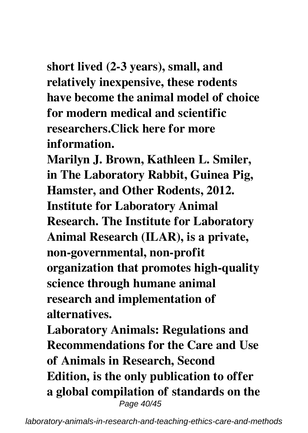**short lived (2-3 years), small, and relatively inexpensive, these rodents have become the animal model of choice for modern medical and scientific researchers.Click here for more information.**

**Marilyn J. Brown, Kathleen L. Smiler, in The Laboratory Rabbit, Guinea Pig, Hamster, and Other Rodents, 2012. Institute for Laboratory Animal Research. The Institute for Laboratory Animal Research (ILAR), is a private, non-governmental, non-profit organization that promotes high-quality science through humane animal research and implementation of alternatives.**

**Laboratory Animals: Regulations and Recommendations for the Care and Use of Animals in Research, Second Edition, is the only publication to offer a global compilation of standards on the** Page 40/45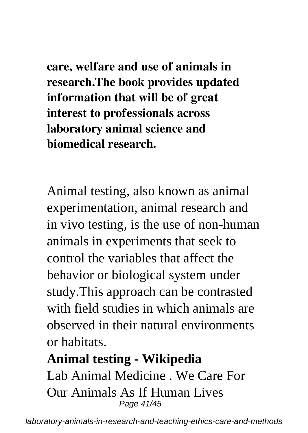**care, welfare and use of animals in research.The book provides updated information that will be of great interest to professionals across laboratory animal science and biomedical research.**

Animal testing, also known as animal experimentation, animal research and in vivo testing, is the use of non-human animals in experiments that seek to control the variables that affect the behavior or biological system under study.This approach can be contrasted with field studies in which animals are observed in their natural environments or habitats.

#### **Animal testing - Wikipedia**

Lab Animal Medicine . We Care For Our Animals As If Human Lives Page 41/45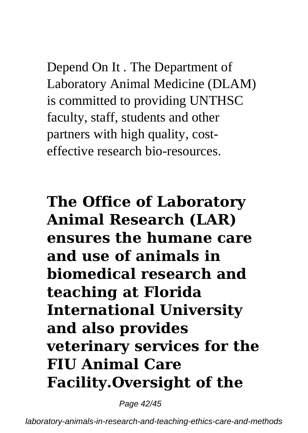Depend On It . The Department of Laboratory Animal Medicine (DLAM) is committed to providing UNTHSC faculty, staff, students and other partners with high quality, costeffective research bio-resources.

**The Office of Laboratory Animal Research (LAR) ensures the humane care and use of animals in biomedical research and teaching at Florida International University and also provides veterinary services for the FIU Animal Care Facility.Oversight of the**

Page 42/45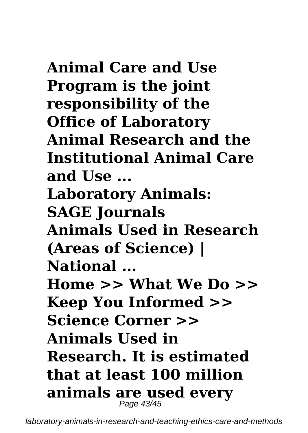**Animal Care and Use Program is the joint responsibility of the Office of Laboratory Animal Research and the Institutional Animal Care and Use ... Laboratory Animals: SAGE Journals Animals Used in Research (Areas of Science) | National ... Home >> What We Do >> Keep You Informed >> Science Corner >> Animals Used in Research. It is estimated that at least 100 million animals are used every** Page 43/45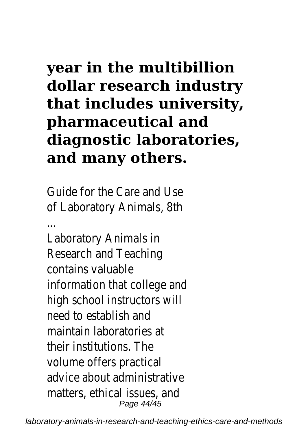# **year in the multibillion dollar research industry that includes university, pharmaceutical and diagnostic laboratories, and many others.**

Guide for the Care and Use of Laboratory Animals, 8th

... Laboratory Animals in Research and Teaching contains valuable information that college and high school instructors will need to establish and maintain laboratories at their institutions. The volume offers practical advice about administrative matters, ethical issues, and Page 44/45